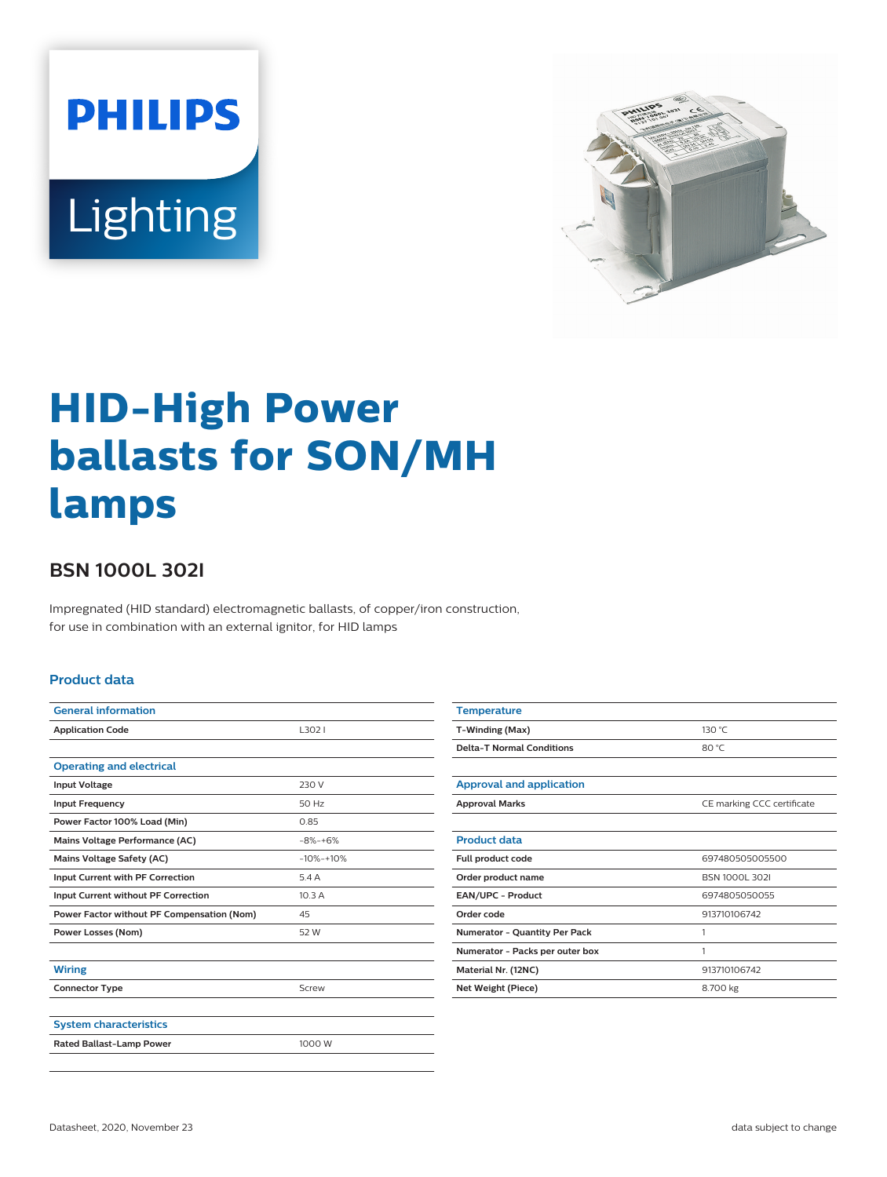



# **HID-High Power ballasts for SON/MH lamps**

## **BSN 1000L 302I**

Impregnated (HID standard) electromagnetic ballasts, of copper/iron construction, for use in combination with an external ignitor, for HID lamps

#### **Product data**

| <b>General information</b>                 |              |
|--------------------------------------------|--------------|
| <b>Application Code</b>                    | L3021        |
|                                            |              |
| <b>Operating and electrical</b>            |              |
| <b>Input Voltage</b>                       | 230 V        |
| <b>Input Frequency</b>                     | 50 Hz        |
| Power Factor 100% Load (Min)               | 0.85         |
| Mains Voltage Performance (AC)             | $-8% + 6%$   |
| <b>Mains Voltage Safety (AC)</b>           | $-10% + 10%$ |
| Input Current with PF Correction           | 5.4A         |
| Input Current without PF Correction        | 10.3A        |
| Power Factor without PF Compensation (Nom) | 45           |
| <b>Power Losses (Nom)</b>                  | 52 W         |
|                                            |              |
| <b>Wiring</b>                              |              |
| <b>Connector Type</b>                      | Screw        |
|                                            |              |
| <b>System characteristics</b>              |              |
| <b>Rated Ballast-Lamp Power</b>            | 1000 W       |
|                                            |              |

| <b>Temperature</b>               |                            |  |  |
|----------------------------------|----------------------------|--|--|
| T-Winding (Max)                  | 130 °C                     |  |  |
| <b>Delta-T Normal Conditions</b> | 80 °C                      |  |  |
|                                  |                            |  |  |
| <b>Approval and application</b>  |                            |  |  |
| <b>Approval Marks</b>            | CE marking CCC certificate |  |  |
|                                  |                            |  |  |
| <b>Product data</b>              |                            |  |  |
| Full product code                | 697480505005500            |  |  |
| Order product name               | <b>BSN 1000L 302I</b>      |  |  |
| EAN/UPC - Product                | 6974805050055              |  |  |
| Order code                       | 913710106742               |  |  |
| Numerator - Quantity Per Pack    | 1                          |  |  |
| Numerator - Packs per outer box  | 1                          |  |  |
| Material Nr. (12NC)              | 913710106742               |  |  |
| Net Weight (Piece)               | 8.700 kg                   |  |  |
|                                  |                            |  |  |